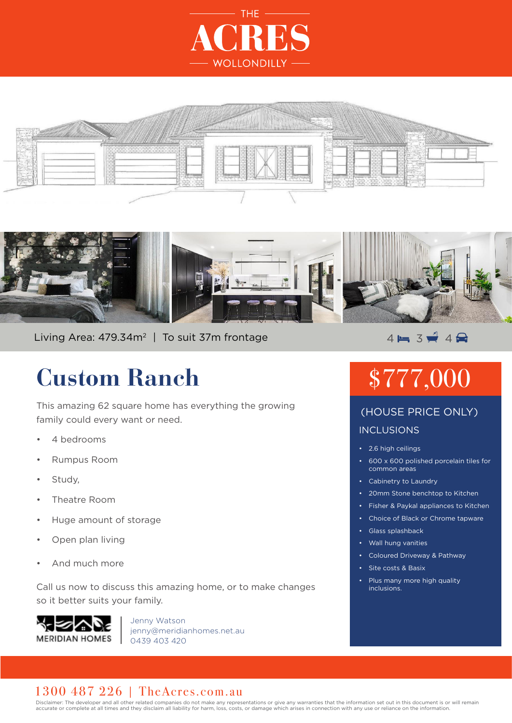





Living Area: 479.34m<sup>2</sup> | To suit 37m frontage  $\overline{4} = 3$   $\overline{4}$  4

## **Custom Ranch**

This amazing 62 square home has everything the growing family could every want or need.

- 4 bedrooms
- Rumpus Room
- Study,
- Theatre Room
- Huge amount of storage
- Open plan living
- And much more

Call us now to discuss this amazing home, or to make changes so it better suits your family.



Jenny Watson jenny@meridianhomes.net.au 0439 403 420

# \$777,000

### INCLUSIONS (HOUSE PRICE ONLY)

- 2.6 high ceilings
- 600 x 600 polished porcelain tiles for common areas
- Cabinetry to Laundry
- 20mm Stone benchtop to Kitchen
- Fisher & Paykal appliances to Kitchen
- Choice of Black or Chrome tapware
- Glass splashback
- Wall hung vanities
- Coloured Driveway & Pathway
- Site costs & Basix
- Plus many more high quality inclusions.

#### 1300 487 226 | TheAcres.com.au

Disclaimer: The developer and all other related companies do not make any representations or give any warranties that the information set out in this document is or will remain accurate or complete at all times and they disclaim all liability for harm, loss, costs, or damage which arises in connection with any use or reliance on the information.